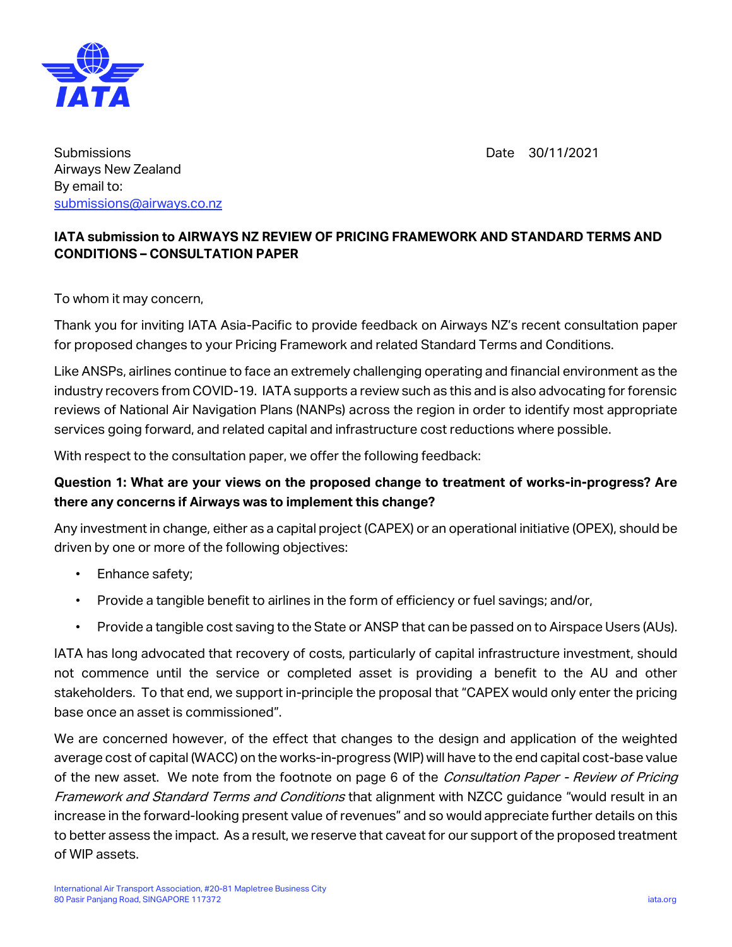

Date 30/11/2021

**Submissions** Airways New Zealand By email to: [submissions@airways.co.nz](mailto:submissions@airways.co.nz)

## **IATA submission to AIRWAYS NZ REVIEW OF PRICING FRAMEWORK AND STANDARD TERMS AND CONDITIONS – CONSULTATION PAPER**

To whom it may concern,

Thank you for inviting IATA Asia-Pacific to provide feedback on Airways NZ's recent consultation paper for proposed changes to your Pricing Framework and related Standard Terms and Conditions.

Like ANSPs, airlines continue to face an extremely challenging operating and financial environment as the industry recovers from COVID-19. IATA supports a review such as this and is also advocating for forensic reviews of National Air Navigation Plans (NANPs) across the region in order to identify most appropriate services going forward, and related capital and infrastructure cost reductions where possible.

With respect to the consultation paper, we offer the following feedback:

## **Question 1: What are your views on the proposed change to treatment of works-in-progress? Are there any concerns if Airways was to implement this change?**

Any investment in change, either as a capital project (CAPEX) or an operational initiative (OPEX), should be driven by one or more of the following objectives:

- Enhance safety;
- Provide a tangible benefit to airlines in the form of efficiency or fuel savings; and/or,
- Provide a tangible cost saving to the State or ANSP that can be passed on to Airspace Users (AUs).

IATA has long advocated that recovery of costs, particularly of capital infrastructure investment, should not commence until the service or completed asset is providing a benefit to the AU and other stakeholders. To that end, we support in-principle the proposal that "CAPEX would only enter the pricing base once an asset is commissioned".

We are concerned however, of the effect that changes to the design and application of the weighted average cost of capital (WACC) on the works-in-progress (WIP) will have to the end capital cost-base value of the new asset. We note from the footnote on page 6 of the *Consultation Paper - Review of Pricing* Framework and Standard Terms and Conditions that alignment with NZCC guidance "would result in an increase in the forward-looking present value of revenues" and so would appreciate further details on this to better assess the impact. As a result, we reserve that caveat for our support of the proposed treatment of WIP assets.